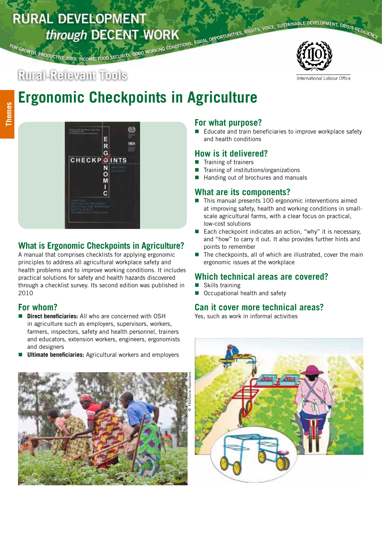# FOR GROWTH, PRODUCTIVE JOBS, INCOME, FOOD SECURITY, GOOD WORKING CONDITIONS, EQUAL OPPORTUNITIES, RIGHTS, VOICE, SUSTAINABLE DEVELOPMENT, CRISIS RESILIENCE **RURAL DEVELOPMENT**



#### International Labour Office

# **Ergonomic Checkpoints in Agriculture**



# **What is Ergonomic Checkpoints in Agriculture?**

A manual that comprises checklists for applying ergonomic principles to address all agricultural workplace safety and health problems and to improve working conditions. It includes practical solutions for safety and health hazards discovered through a checklist survey. Its second edition was published in 2010

### **For whom?**

- **Direct beneficiaries:** All who are concerned with OSH in agriculture such as employers, supervisors, workers, farmers, inspectors, safety and health personnel, trainers and educators, extension workers, engineers, ergonomists and designers
- **Ultimate beneficiaries:** Agricultural workers and employers



#### **For what purpose?**

Educate and train beneficiaries to improve workplace safety and health conditions

#### **How is it delivered?**

- Training of trainers
- Training of institutions/organizations
- Handing out of brochures and manuals

# **What are its components?**

- $\blacksquare$  This manual presents 100 ergonomic interventions aimed at improving safety, health and working conditions in smallscale agricultural farms, with a clear focus on practical, low-cost solutions
- Each checkpoint indicates an action, "why" it is necessary, and "how" to carry it out. It also provides further hints and points to remember
- $\blacksquare$  The checkpoints, all of which are illustrated, cover the main ergonomic issues at the workplace

# **Which technical areas are covered?**

- Skills training
- Occupational health and safety

#### **Can it cover more technical areas?**

Yes, such as work in informal activities